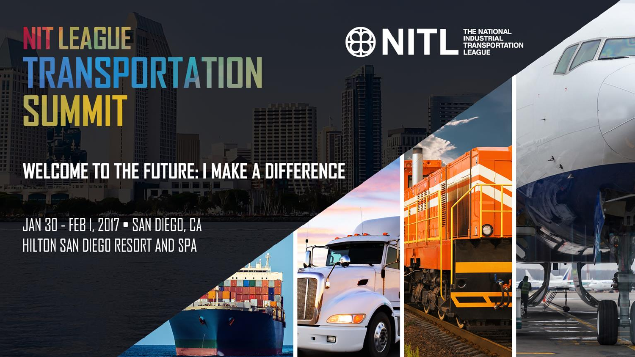

## **WELCOME TO THE FUTURE: I MAKE A DIFFERENCE**

### JAN 30 - FEB 1, 2017 - SAN DIEGO, CA HILTON SAN DIEGO RESORT AND SPA

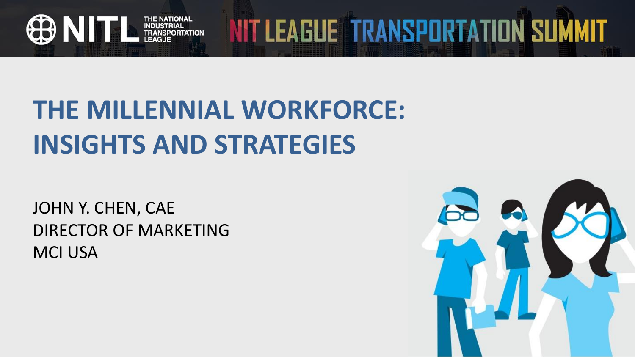

## **THE MILLENNIAL WORKFORCE: INSIGHTS AND STRATEGIES**

JOHN Y. CHEN, CAE DIRECTOR OF MARKETING MCI USA



NIT LEAGUE TRANSPORTATION SUMMIT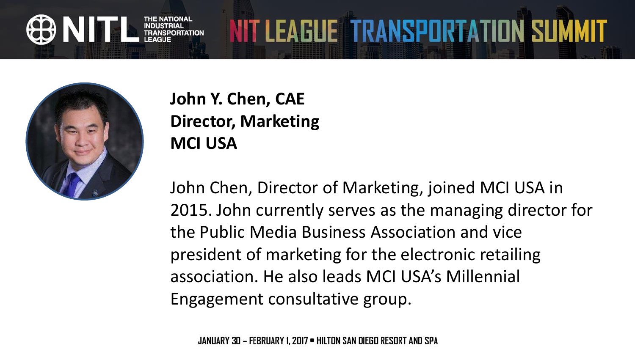

### **John Y. Chen, CAE Director, Marketing MCI USA**

John Chen, Director of Marketing, joined MCI USA in 2015. John currently serves as the managing director for the Public Media Business Association and vice president of marketing for the electronic retailing association. He also leads MCI USA's Millennial Engagement consultative group.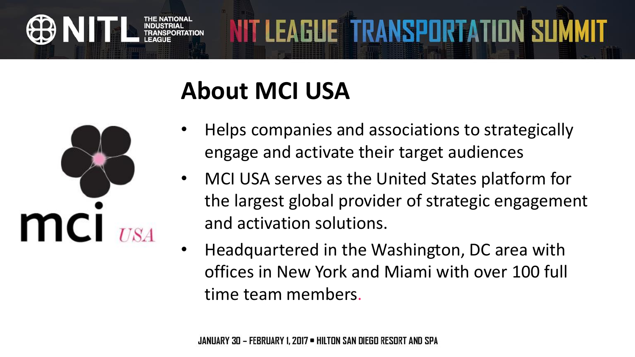## **About MCI USA**



• Helps companies and associations to strategically engage and activate their target audiences

**NIT LEAGUE TRANSPORTATION SUMMIT** 

- MCI USA serves as the United States platform for the largest global provider of strategic engagement and activation solutions.
- Headquartered in the Washington, DC area with offices in New York and Miami with over 100 full time team members.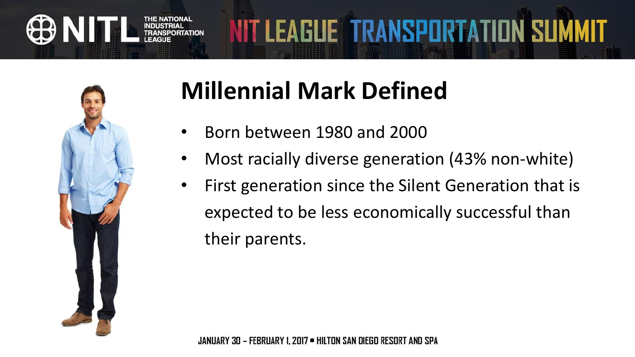

## **Millennial Mark Defined**

- Born between 1980 and 2000
- Most racially diverse generation (43% non-white)
- First generation since the Silent Generation that is expected to be less economically successful than their parents.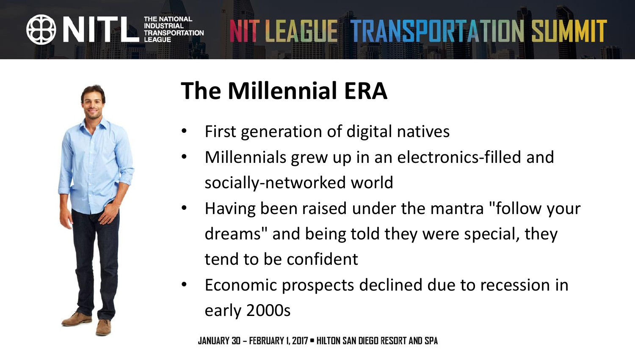

## **The Millennial ERA**

- First generation of digital natives
- Millennials grew up in an electronics-filled and socially-networked world
- Having been raised under the mantra "follow your dreams" and being told they were special, they tend to be confident
- Economic prospects declined due to recession in early 2000s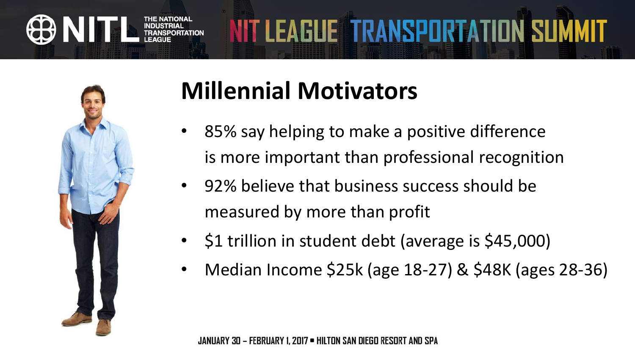



## **Millennial Motivators**

- 85% say helping to make a positive difference is more important than professional recognition
- 92% believe that business success should be measured by more than profit
- \$1 trillion in student debt (average is \$45,000)
- Median Income \$25k (age 18-27) & \$48K (ages 28-36)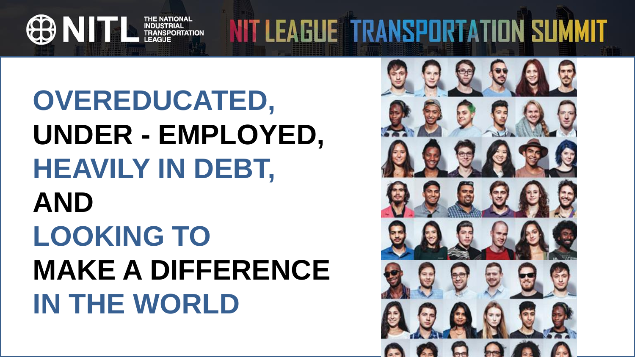**OVEREDUCATED, UNDER - EMPLOYED, HEAVILY IN DEBT, AND LOOKING TO MAKE A DIFFERENCE IN THE WORLD**

THE NATIONAL<br>INDUSTRIAL<br>IN TRANSPORTATION<br>LEAGUE

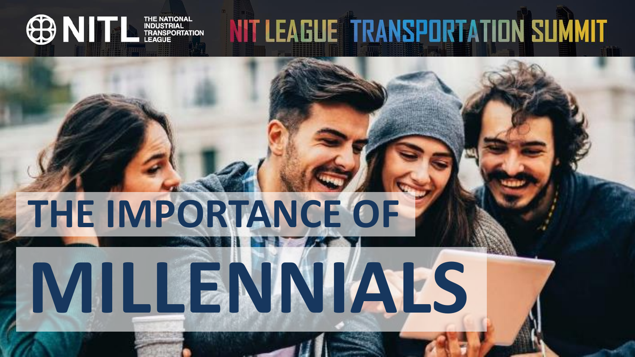# **THE IMPORTANCE OF**

**ONITL** IMPORTATIONAL

**MILLENNIALS**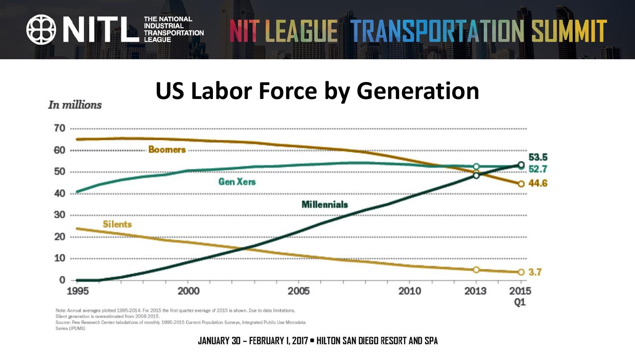## **US Labor Force by Generation**

NIT LEAGUE TRANSPORTATION SUMMIT





Note: Annual averages plotted 1995-2014. For 2015 the first quarter average of 2015 is shown. Due to data limitations. Silent generation is overestimated from 2008-2015

THE NATIONAL<br>INDUSTRIAL<br>INDUSTRIATION<br>INDUCTRIAGUE

Source: Pew Research Center tabulations of monthly 1995-2015 Current Population Surveys, Integrated Public Use Microdata Series (IPUMS)

JANUARY 30 - FEBRUARY 1, 2017 . HILTON SAN DIEGO RESORT AND SPA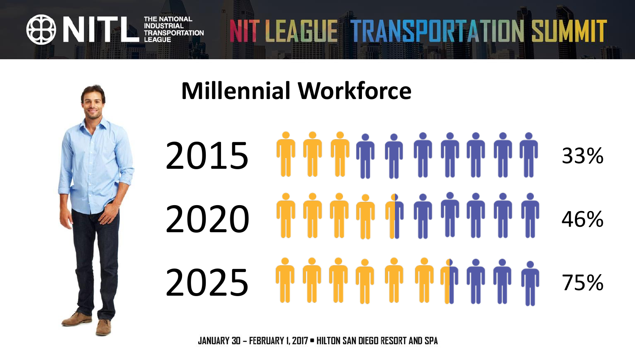

63 N I

THE NATIONAL<br>INDUSTRIAL<br>IN TRANSPORTATION

## **Millennial Workforce**



NIT LEAGUE TRANSPORTATION SUMMIT

JANUARY 30 - FEBRUARY 1, 2017 . HILTON SAN DIEGO RESORT AND SPA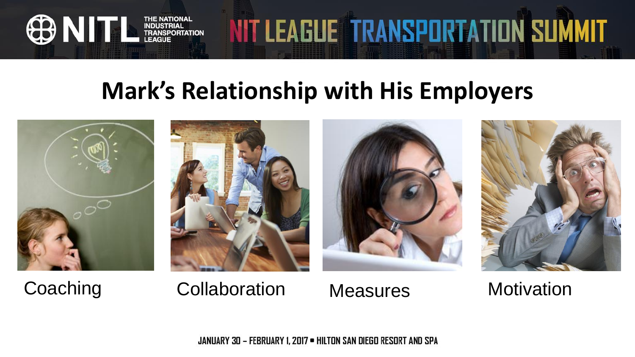## **Mark's Relationship with His Employers**



**OD NITL** INDUSTRIAL







NIT LEAGUE TRANSPORTATION SUMMIT



Coaching Collaboration Measures Motivation

JANUARY 30 - FEBRUARY 1, 2017 . HILTON SAN DIEGO RESORT AND SPA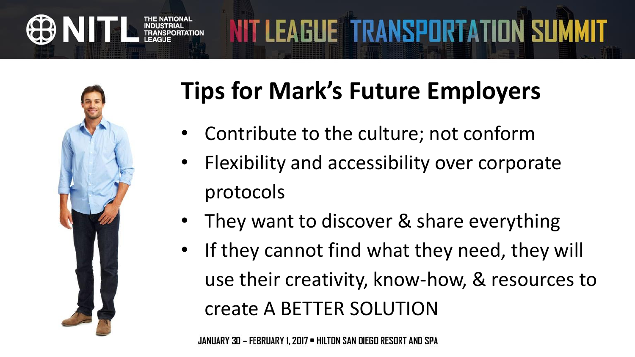

## **Tips for Mark's Future Employers**

- Contribute to the culture; not conform
- Flexibility and accessibility over corporate protocols
- They want to discover & share everything
- If they cannot find what they need, they will use their creativity, know-how, & resources to create A BETTER SOLUTION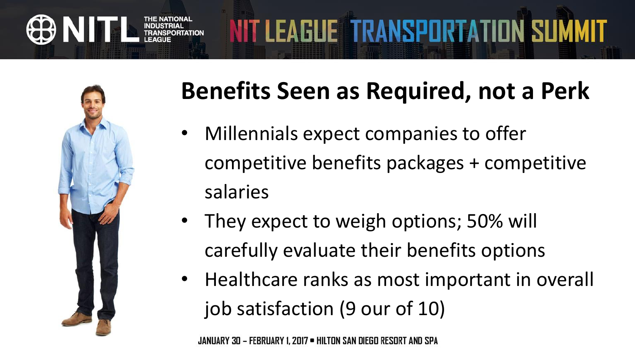

## **Benefits Seen as Required, not a Perk**

- Millennials expect companies to offer competitive benefits packages + competitive salaries
- They expect to weigh options; 50% will carefully evaluate their benefits options
- Healthcare ranks as most important in overall job satisfaction (9 our of 10)